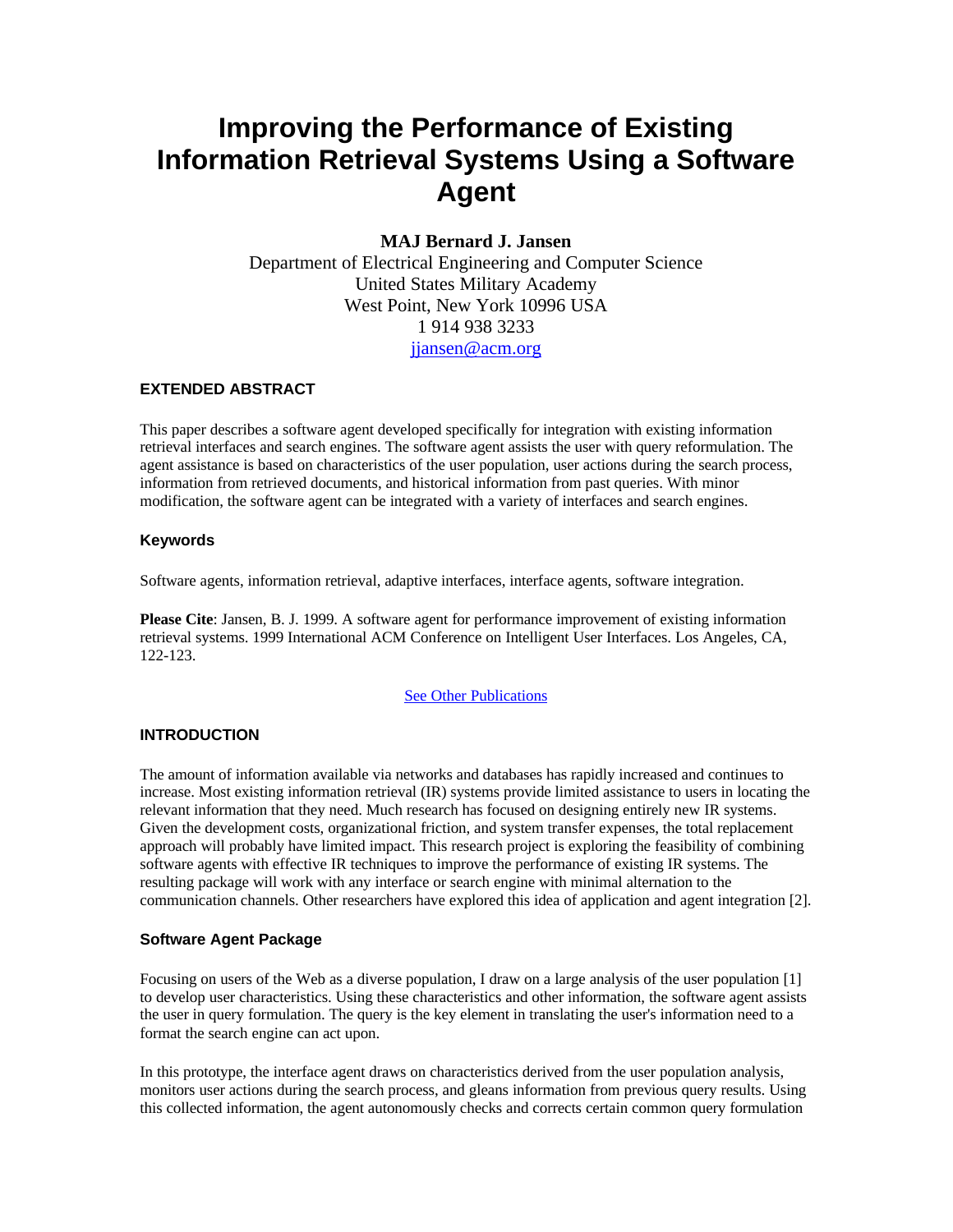# **Improving the Performance of Existing Information Retrieval Systems Using a Software Agent**

## **MAJ Bernard J. Jansen**

Department of Electrical Engineering and Computer Science United States Military Academy West Point, New York 10996 USA 1 914 938 3233 jjansen@acm.org

## **EXTENDED ABSTRACT**

This paper describes a software agent developed specifically for integration with existing information retrieval interfaces and search engines. The software agent assists the user with query reformulation. The agent assistance is based on characteristics of the user population, user actions during the search process, information from retrieved documents, and historical information from past queries. With minor modification, the software agent can be integrated with a variety of interfaces and search engines.

## **Keywords**

Software agents, information retrieval, adaptive interfaces, interface agents, software integration.

**Please Cite**: Jansen, B. J. 1999. A software agent for performance improvement of existing information retrieval systems. 1999 International ACM Conference on Intelligent User Interfaces. Los Angeles, CA, 122-123.

#### See Other Publications

## **INTRODUCTION**

The amount of information available via networks and databases has rapidly increased and continues to increase. Most existing information retrieval (IR) systems provide limited assistance to users in locating the relevant information that they need. Much research has focused on designing entirely new IR systems. Given the development costs, organizational friction, and system transfer expenses, the total replacement approach will probably have limited impact. This research project is exploring the feasibility of combining software agents with effective IR techniques to improve the performance of existing IR systems. The resulting package will work with any interface or search engine with minimal alternation to the communication channels. Other researchers have explored this idea of application and agent integration [2].

## **Software Agent Package**

Focusing on users of the Web as a diverse population, I draw on a large analysis of the user population [1] to develop user characteristics. Using these characteristics and other information, the software agent assists the user in query formulation. The query is the key element in translating the user's information need to a format the search engine can act upon.

In this prototype, the interface agent draws on characteristics derived from the user population analysis, monitors user actions during the search process, and gleans information from previous query results. Using this collected information, the agent autonomously checks and corrects certain common query formulation